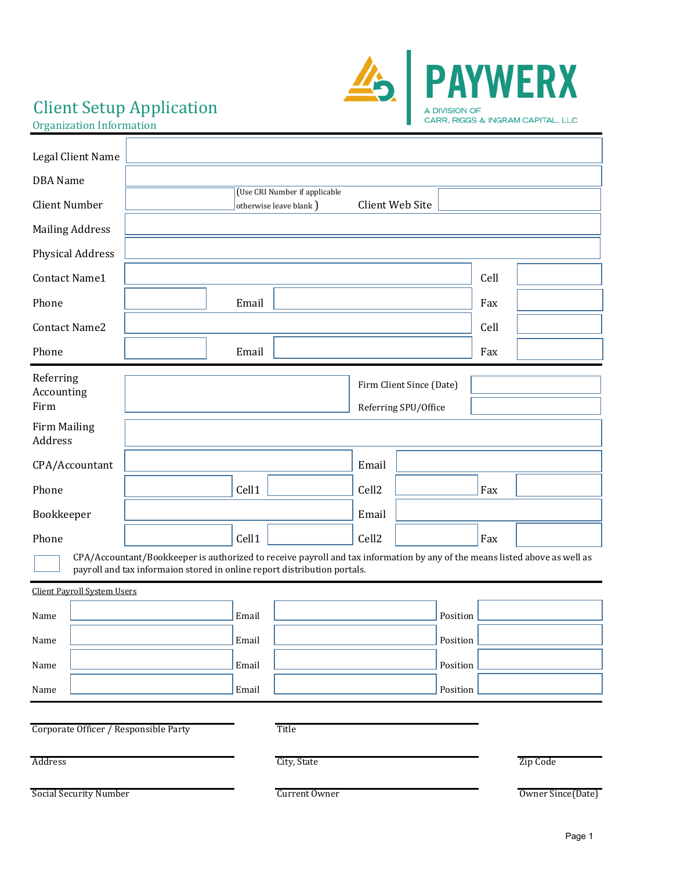# Client Setup Application



Organization Information

| Legal Client Name                     |                                                                                                                                                                                                        |       |                                                          |                   |                                                  |      |                   |
|---------------------------------------|--------------------------------------------------------------------------------------------------------------------------------------------------------------------------------------------------------|-------|----------------------------------------------------------|-------------------|--------------------------------------------------|------|-------------------|
| <b>DBA</b> Name                       |                                                                                                                                                                                                        |       |                                                          |                   |                                                  |      |                   |
| <b>Client Number</b>                  |                                                                                                                                                                                                        |       | (Use CRI Number if applicable<br>otherwise leave blank ) |                   | Client Web Site                                  |      |                   |
| <b>Mailing Address</b>                |                                                                                                                                                                                                        |       |                                                          |                   |                                                  |      |                   |
| <b>Physical Address</b>               |                                                                                                                                                                                                        |       |                                                          |                   |                                                  |      |                   |
| Contact Name1                         |                                                                                                                                                                                                        |       |                                                          |                   |                                                  | Cell |                   |
| Phone                                 |                                                                                                                                                                                                        | Email |                                                          |                   |                                                  | Fax  |                   |
| <b>Contact Name2</b>                  |                                                                                                                                                                                                        |       |                                                          |                   |                                                  | Cell |                   |
| Phone                                 |                                                                                                                                                                                                        | Email |                                                          |                   |                                                  | Fax  |                   |
| Referring<br>Accounting<br>Firm       |                                                                                                                                                                                                        |       |                                                          |                   | Firm Client Since (Date)<br>Referring SPU/Office |      |                   |
| <b>Firm Mailing</b><br>Address        |                                                                                                                                                                                                        |       |                                                          |                   |                                                  |      |                   |
| CPA/Accountant                        |                                                                                                                                                                                                        |       |                                                          | Email             |                                                  |      |                   |
| Phone                                 |                                                                                                                                                                                                        | Cell1 |                                                          | Cell <sub>2</sub> |                                                  | Fax  |                   |
| Bookkeeper                            |                                                                                                                                                                                                        |       |                                                          | Email             |                                                  |      |                   |
| Phone                                 |                                                                                                                                                                                                        | Cell1 |                                                          | Cell <sub>2</sub> |                                                  | Fax  |                   |
|                                       | CPA/Accountant/Bookkeeper is authorized to receive payroll and tax information by any of the means listed above as well as<br>payroll and tax informaion stored in online report distribution portals. |       |                                                          |                   |                                                  |      |                   |
| <b>Client Payroll System Users</b>    |                                                                                                                                                                                                        |       |                                                          |                   |                                                  |      |                   |
| Name                                  |                                                                                                                                                                                                        | Email |                                                          |                   | Position                                         |      |                   |
| Name                                  |                                                                                                                                                                                                        | Email |                                                          |                   | Position                                         |      |                   |
| Name                                  |                                                                                                                                                                                                        | Email |                                                          |                   | Position                                         |      |                   |
| Name                                  |                                                                                                                                                                                                        | Email |                                                          |                   | Position                                         |      |                   |
|                                       |                                                                                                                                                                                                        |       |                                                          |                   |                                                  |      |                   |
| Corporate Officer / Responsible Party |                                                                                                                                                                                                        |       | Title                                                    |                   |                                                  |      |                   |
| Address                               |                                                                                                                                                                                                        |       | City, State                                              |                   |                                                  |      | Zip Code          |
| Social Security Number                |                                                                                                                                                                                                        |       | Current Owner                                            |                   |                                                  |      | Owner Since(Date) |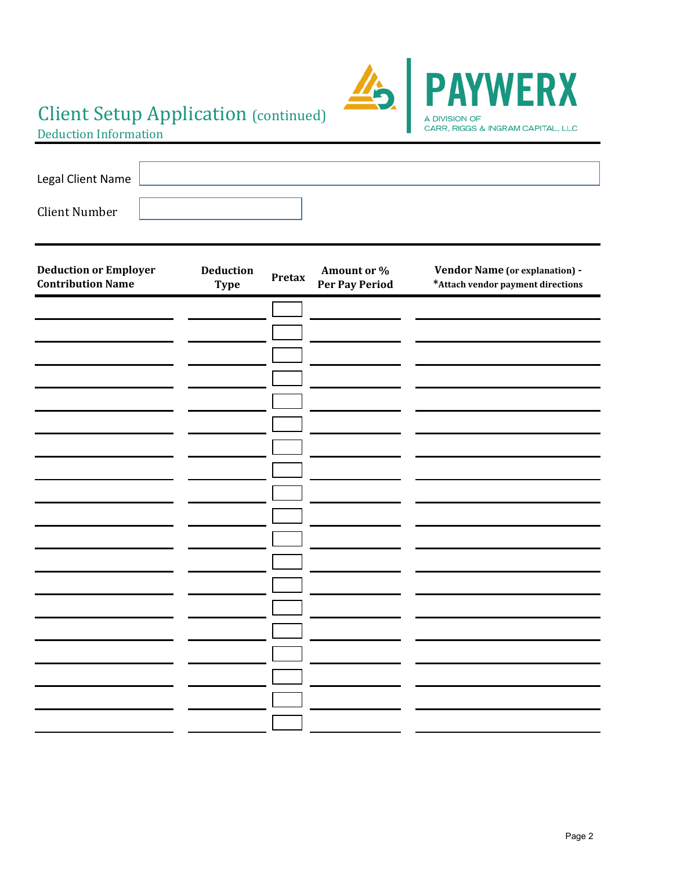# Client Setup Application (continued)



Deduction Information

| Legal Client Name    |  |  |
|----------------------|--|--|
|                      |  |  |
| <b>Client Number</b> |  |  |

| <b>Deduction or Employer</b><br><b>Contribution Name</b> | Deduction<br><b>Type</b> | <b>Pretax</b> | Amount or $\%$<br>Per Pay Period | Vendor Name (or explanation) -<br>*Attach vendor payment directions |
|----------------------------------------------------------|--------------------------|---------------|----------------------------------|---------------------------------------------------------------------|
|                                                          |                          |               |                                  |                                                                     |
|                                                          |                          |               |                                  |                                                                     |
|                                                          |                          |               |                                  |                                                                     |
|                                                          |                          |               |                                  |                                                                     |
|                                                          |                          |               |                                  |                                                                     |
|                                                          |                          |               |                                  |                                                                     |
|                                                          |                          |               |                                  |                                                                     |
|                                                          |                          |               |                                  |                                                                     |
|                                                          |                          |               |                                  |                                                                     |
|                                                          |                          |               |                                  |                                                                     |
|                                                          |                          |               |                                  |                                                                     |
|                                                          |                          |               |                                  |                                                                     |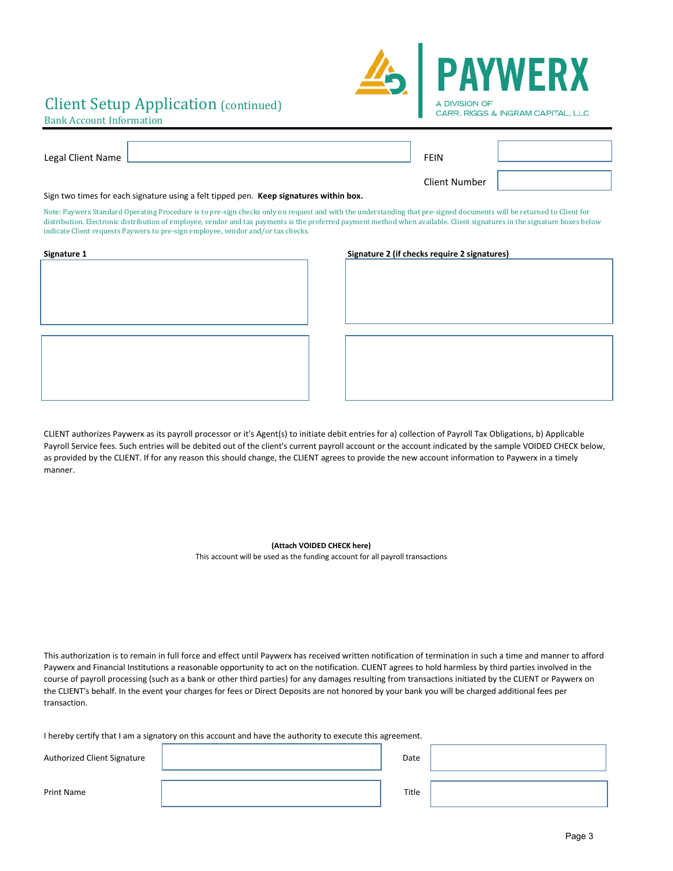## Client Setup Application (continued)



### Bank Account Information

| Legal Client Name                                                                      |                                                                                                                                                                       | FFIN                 |  |  |
|----------------------------------------------------------------------------------------|-----------------------------------------------------------------------------------------------------------------------------------------------------------------------|----------------------|--|--|
|                                                                                        |                                                                                                                                                                       | <b>Client Number</b> |  |  |
| Sign two times for each signature using a felt tipped pen. Keep signatures within box. |                                                                                                                                                                       |                      |  |  |
|                                                                                        | Mark Brown, Gradual According Barcelonic Cristian alterdation are and anti-distributed the illustrated decomposition and anti-distributed in Object Critical Cristian |                      |  |  |

Note: Paywerx Standard Operating Procedure is to pre-sign checks only on request and with the understanding that pre-signed documents will be returned to Client for distribution. Electronic distribution of employee, vendor and tax payments is the preferred payment method when available. Client signatures in the signature boxes below indicate Client requests Paywerx to pre-sign employee, vendor and/or tax checks.

| Signature 1 |  |  |
|-------------|--|--|
|             |  |  |
|             |  |  |
|             |  |  |
|             |  |  |
|             |  |  |
|             |  |  |
|             |  |  |
|             |  |  |
|             |  |  |
|             |  |  |
|             |  |  |
|             |  |  |
|             |  |  |
|             |  |  |
|             |  |  |
|             |  |  |
|             |  |  |

#### **Signature 1 Signature 2 (if checks require 2 signatures)**

CLIENT authorizes Paywerx as its payroll processor or it's Agent(s) to initiate debit entries for a) collection of Payroll Tax Obligations, b) Applicable Payroll Service fees. Such entries will be debited out of the client's current payroll account or the account indicated by the sample VOIDED CHECK below, as provided by the CLIENT. If for any reason this should change, the CLIENT agrees to provide the new account information to Paywerx in a timely manner.

**(Attach VOIDED CHECK here)**

This account will be used as the funding account for all payroll transactions

This authorization is to remain in full force and effect until Paywerx has received written notification of termination in such a time and manner to afford Paywerx and Financial Institutions a reasonable opportunity to act on the notification. CLIENT agrees to hold harmless by third parties involved in the course of payroll processing (such as a bank or other third parties) for any damages resulting from transactions initiated by the CLIENT or Paywerx on the CLIENT's behalf. In the event your charges for fees or Direct Deposits are not honored by your bank you will be charged additional fees per transaction.

I hereby certify that I am a signatory on this account and have the authority to execute this agreement.

| Authorized Client Signature | Date  |  |
|-----------------------------|-------|--|
| Print Name                  | Title |  |